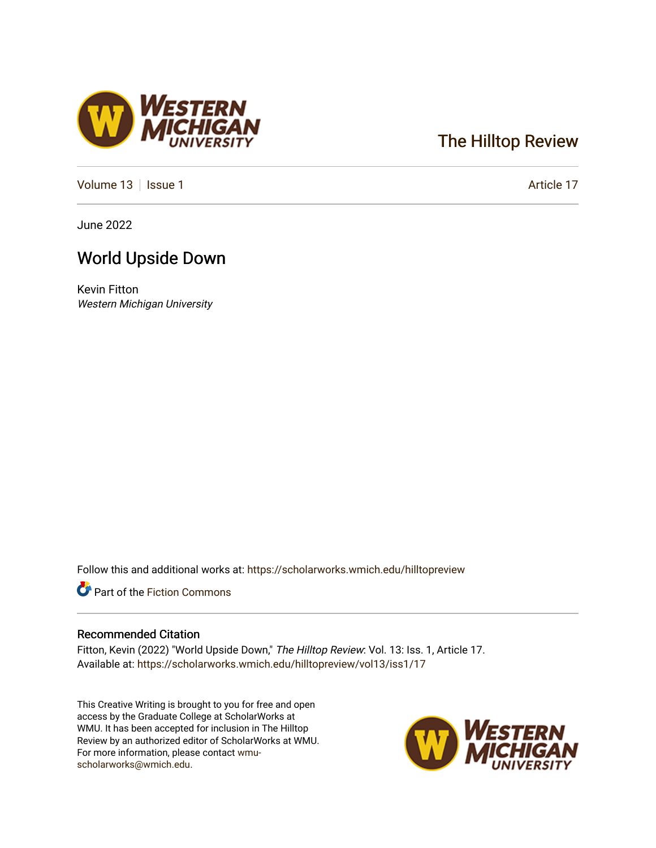## [The Hilltop Review](https://scholarworks.wmich.edu/hilltopreview)

[Volume 13](https://scholarworks.wmich.edu/hilltopreview/vol13) | [Issue 1](https://scholarworks.wmich.edu/hilltopreview/vol13/iss1) Article 17

June 2022

## World Upside Down

**VESTERN<br>VICHIGAN** 

Kevin Fitton Western Michigan University

Follow this and additional works at: [https://scholarworks.wmich.edu/hilltopreview](https://scholarworks.wmich.edu/hilltopreview?utm_source=scholarworks.wmich.edu%2Fhilltopreview%2Fvol13%2Fiss1%2F17&utm_medium=PDF&utm_campaign=PDFCoverPages)

Part of the [Fiction Commons](https://network.bepress.com/hgg/discipline/1151?utm_source=scholarworks.wmich.edu%2Fhilltopreview%2Fvol13%2Fiss1%2F17&utm_medium=PDF&utm_campaign=PDFCoverPages) 

### Recommended Citation

Fitton, Kevin (2022) "World Upside Down," The Hilltop Review: Vol. 13: Iss. 1, Article 17. Available at: [https://scholarworks.wmich.edu/hilltopreview/vol13/iss1/17](https://scholarworks.wmich.edu/hilltopreview/vol13/iss1/17?utm_source=scholarworks.wmich.edu%2Fhilltopreview%2Fvol13%2Fiss1%2F17&utm_medium=PDF&utm_campaign=PDFCoverPages) 

This Creative Writing is brought to you for free and open access by the Graduate College at ScholarWorks at WMU. It has been accepted for inclusion in The Hilltop Review by an authorized editor of ScholarWorks at WMU. For more information, please contact [wmu](mailto:wmu-scholarworks@wmich.edu)[scholarworks@wmich.edu.](mailto:wmu-scholarworks@wmich.edu)

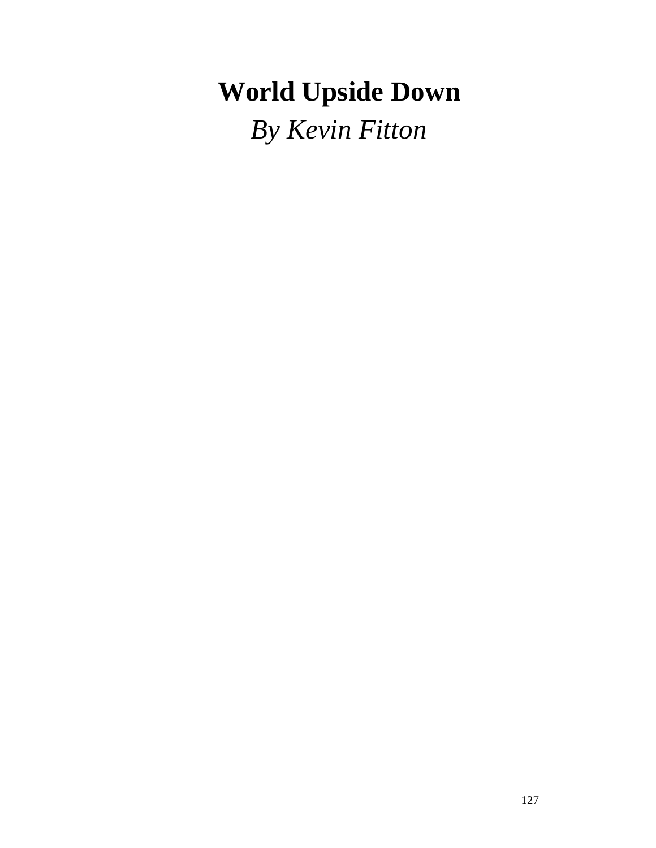# **World Upside Down**

*By Kevin Fitton*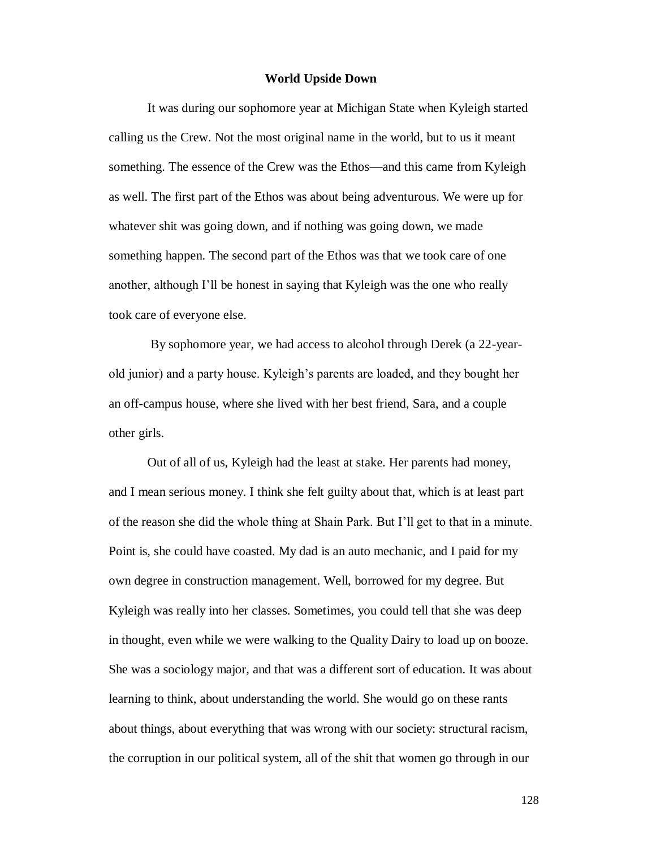#### **World Upside Down**

It was during our sophomore year at Michigan State when Kyleigh started calling us the Crew. Not the most original name in the world, but to us it meant something. The essence of the Crew was the Ethos—and this came from Kyleigh as well. The first part of the Ethos was about being adventurous. We were up for whatever shit was going down, and if nothing was going down, we made something happen. The second part of the Ethos was that we took care of one another, although I'll be honest in saying that Kyleigh was the one who really took care of everyone else.

By sophomore year, we had access to alcohol through Derek (a 22-yearold junior) and a party house. Kyleigh's parents are loaded, and they bought her an off-campus house, where she lived with her best friend, Sara, and a couple other girls.

Out of all of us, Kyleigh had the least at stake. Her parents had money, and I mean serious money. I think she felt guilty about that, which is at least part of the reason she did the whole thing at Shain Park. But I'll get to that in a minute. Point is, she could have coasted. My dad is an auto mechanic, and I paid for my own degree in construction management. Well, borrowed for my degree. But Kyleigh was really into her classes. Sometimes, you could tell that she was deep in thought, even while we were walking to the Quality Dairy to load up on booze. She was a sociology major, and that was a different sort of education. It was about learning to think, about understanding the world. She would go on these rants about things, about everything that was wrong with our society: structural racism, the corruption in our political system, all of the shit that women go through in our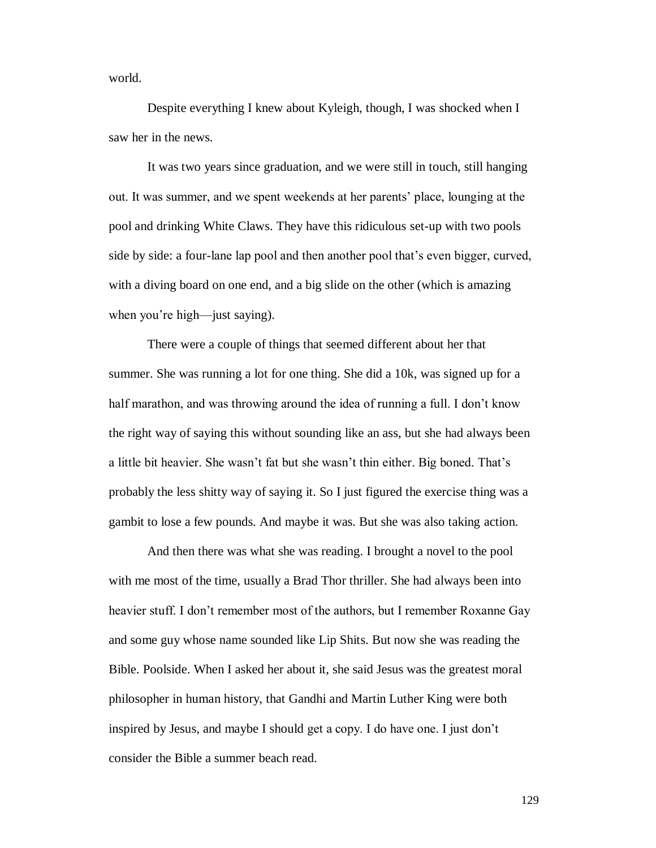world.

Despite everything I knew about Kyleigh, though, I was shocked when I saw her in the news.

It was two years since graduation, and we were still in touch, still hanging out. It was summer, and we spent weekends at her parents' place, lounging at the pool and drinking White Claws. They have this ridiculous set-up with two pools side by side: a four-lane lap pool and then another pool that's even bigger, curved, with a diving board on one end, and a big slide on the other (which is amazing when you're high—just saying).

There were a couple of things that seemed different about her that summer. She was running a lot for one thing. She did a 10k, was signed up for a half marathon, and was throwing around the idea of running a full. I don't know the right way of saying this without sounding like an ass, but she had always been a little bit heavier. She wasn't fat but she wasn't thin either. Big boned. That's probably the less shitty way of saying it. So I just figured the exercise thing was a gambit to lose a few pounds. And maybe it was. But she was also taking action.

And then there was what she was reading. I brought a novel to the pool with me most of the time, usually a Brad Thor thriller. She had always been into heavier stuff. I don't remember most of the authors, but I remember Roxanne Gay and some guy whose name sounded like Lip Shits. But now she was reading the Bible. Poolside. When I asked her about it, she said Jesus was the greatest moral philosopher in human history, that Gandhi and Martin Luther King were both inspired by Jesus, and maybe I should get a copy. I do have one. I just don't consider the Bible a summer beach read.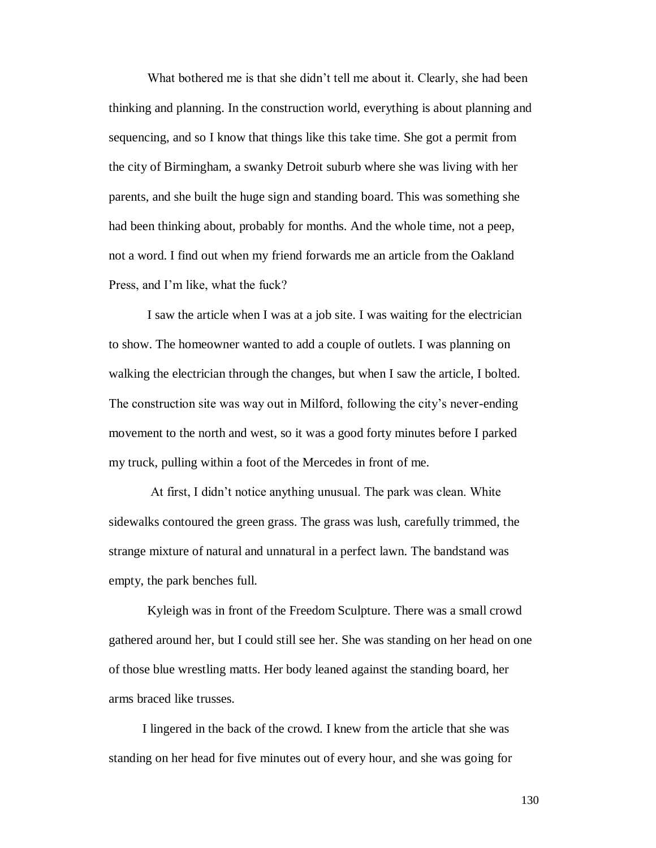What bothered me is that she didn't tell me about it. Clearly, she had been thinking and planning. In the construction world, everything is about planning and sequencing, and so I know that things like this take time. She got a permit from the city of Birmingham, a swanky Detroit suburb where she was living with her parents, and she built the huge sign and standing board. This was something she had been thinking about, probably for months. And the whole time, not a peep, not a word. I find out when my friend forwards me an article from the Oakland Press, and I'm like, what the fuck?

I saw the article when I was at a job site. I was waiting for the electrician to show. The homeowner wanted to add a couple of outlets. I was planning on walking the electrician through the changes, but when I saw the article, I bolted. The construction site was way out in Milford, following the city's never-ending movement to the north and west, so it was a good forty minutes before I parked my truck, pulling within a foot of the Mercedes in front of me.

At first, I didn't notice anything unusual. The park was clean. White sidewalks contoured the green grass. The grass was lush, carefully trimmed, the strange mixture of natural and unnatural in a perfect lawn. The bandstand was empty, the park benches full.

Kyleigh was in front of the Freedom Sculpture. There was a small crowd gathered around her, but I could still see her. She was standing on her head on one of those blue wrestling matts. Her body leaned against the standing board, her arms braced like trusses.

I lingered in the back of the crowd. I knew from the article that she was standing on her head for five minutes out of every hour, and she was going for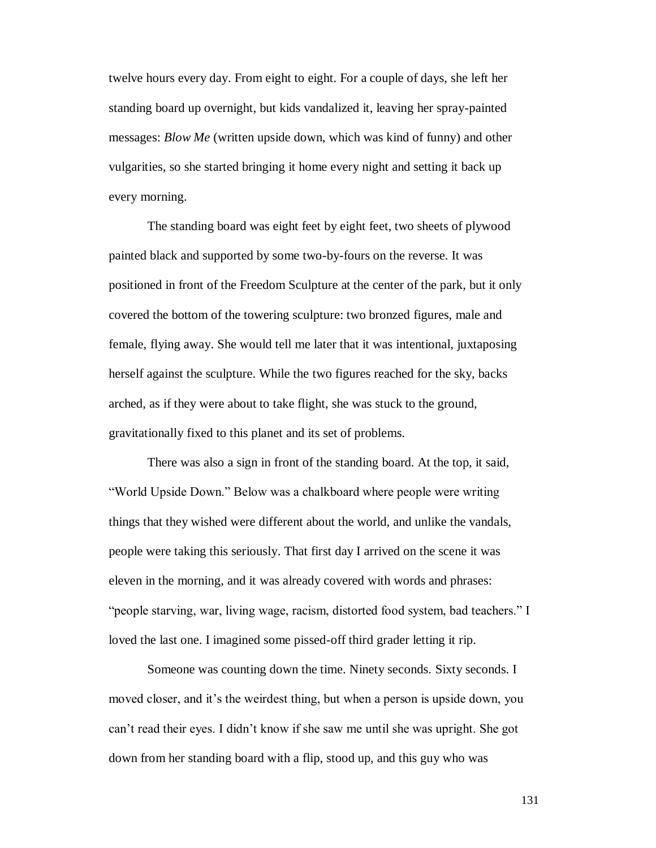twelve hours every day. From eight to eight. For a couple of days, she left her standing board up overnight, but kids vandalized it, leaving her spray-painted messages: *Blow Me* (written upside down, which was kind of funny) and other vulgarities, so she started bringing it home every night and setting it back up every morning.

The standing board was eight feet by eight feet, two sheets of plywood painted black and supported by some two-by-fours on the reverse. It was positioned in front of the Freedom Sculpture at the center of the park, but it only covered the bottom of the towering sculpture: two bronzed figures, male and female, flying away. She would tell me later that it was intentional, juxtaposing herself against the sculpture. While the two figures reached for the sky, backs arched, as if they were about to take flight, she was stuck to the ground, gravitationally fixed to this planet and its set of problems.

There was also a sign in front of the standing board. At the top, it said, "World Upside Down." Below was a chalkboard where people were writing things that they wished were different about the world, and unlike the vandals, people were taking this seriously. That first day I arrived on the scene it was eleven in the morning, and it was already covered with words and phrases: "people starving, war, living wage, racism, distorted food system, bad teachers." I loved the last one. I imagined some pissed-off third grader letting it rip.

Someone was counting down the time. Ninety seconds. Sixty seconds. I moved closer, and it's the weirdest thing, but when a person is upside down, you can't read their eyes. I didn't know if she saw me until she was upright. She got down from her standing board with a flip, stood up, and this guy who was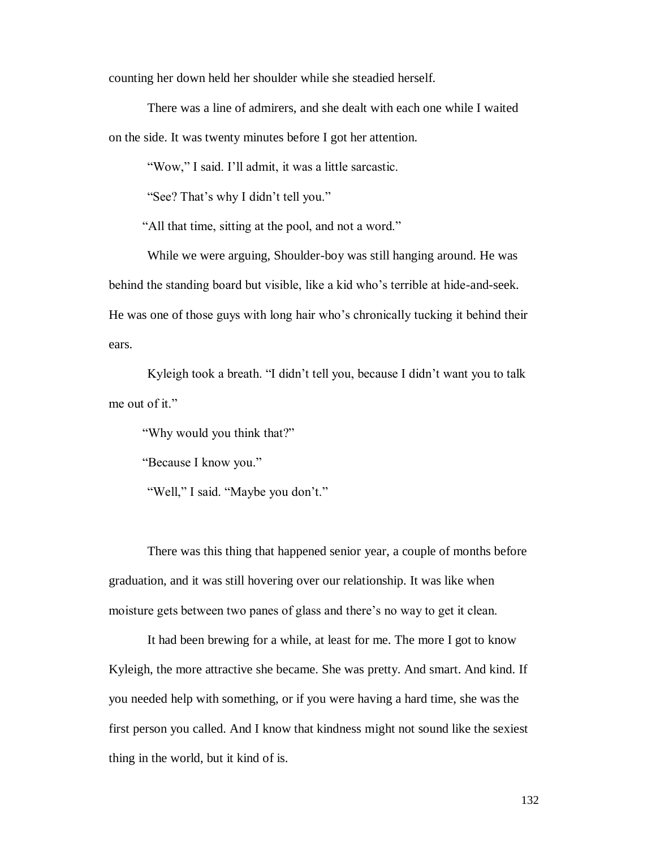counting her down held her shoulder while she steadied herself.

There was a line of admirers, and she dealt with each one while I waited on the side. It was twenty minutes before I got her attention.

"Wow," I said. I'll admit, it was a little sarcastic.

"See? That's why I didn't tell you."

"All that time, sitting at the pool, and not a word."

While we were arguing, Shoulder-boy was still hanging around. He was behind the standing board but visible, like a kid who's terrible at hide-and-seek. He was one of those guys with long hair who's chronically tucking it behind their ears.

Kyleigh took a breath. "I didn't tell you, because I didn't want you to talk me out of it."

"Why would you think that?"

"Because I know you."

"Well," I said. "Maybe you don't."

There was this thing that happened senior year, a couple of months before graduation, and it was still hovering over our relationship. It was like when moisture gets between two panes of glass and there's no way to get it clean.

It had been brewing for a while, at least for me. The more I got to know Kyleigh, the more attractive she became. She was pretty. And smart. And kind. If you needed help with something, or if you were having a hard time, she was the first person you called. And I know that kindness might not sound like the sexiest thing in the world, but it kind of is.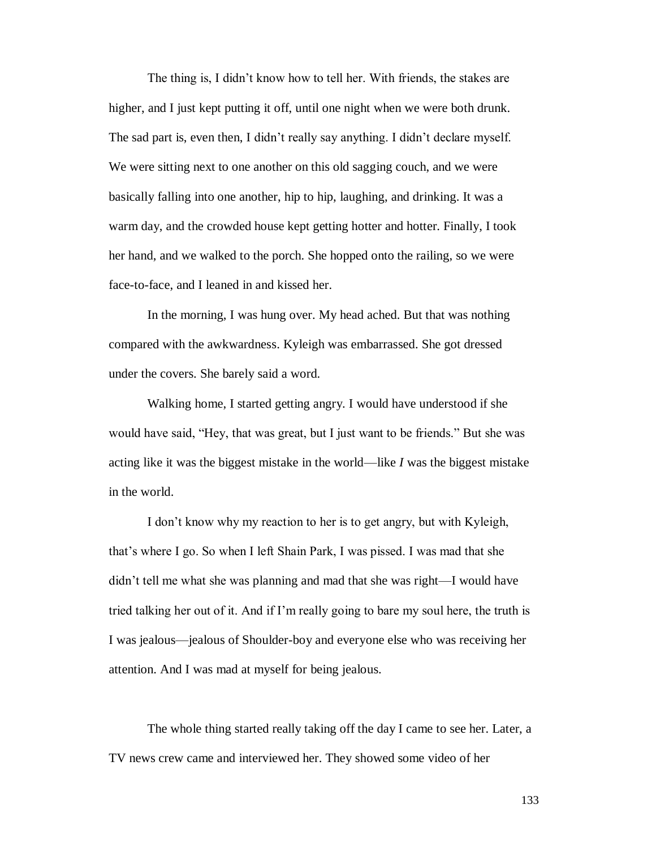The thing is, I didn't know how to tell her. With friends, the stakes are higher, and I just kept putting it off, until one night when we were both drunk. The sad part is, even then, I didn't really say anything. I didn't declare myself. We were sitting next to one another on this old sagging couch, and we were basically falling into one another, hip to hip, laughing, and drinking. It was a warm day, and the crowded house kept getting hotter and hotter. Finally, I took her hand, and we walked to the porch. She hopped onto the railing, so we were face-to-face, and I leaned in and kissed her.

In the morning, I was hung over. My head ached. But that was nothing compared with the awkwardness. Kyleigh was embarrassed. She got dressed under the covers. She barely said a word.

Walking home, I started getting angry. I would have understood if she would have said, "Hey, that was great, but I just want to be friends." But she was acting like it was the biggest mistake in the world—like *I* was the biggest mistake in the world.

I don't know why my reaction to her is to get angry, but with Kyleigh, that's where I go. So when I left Shain Park, I was pissed. I was mad that she didn't tell me what she was planning and mad that she was right—I would have tried talking her out of it. And if I'm really going to bare my soul here, the truth is I was jealous—jealous of Shoulder-boy and everyone else who was receiving her attention. And I was mad at myself for being jealous.

The whole thing started really taking off the day I came to see her. Later, a TV news crew came and interviewed her. They showed some video of her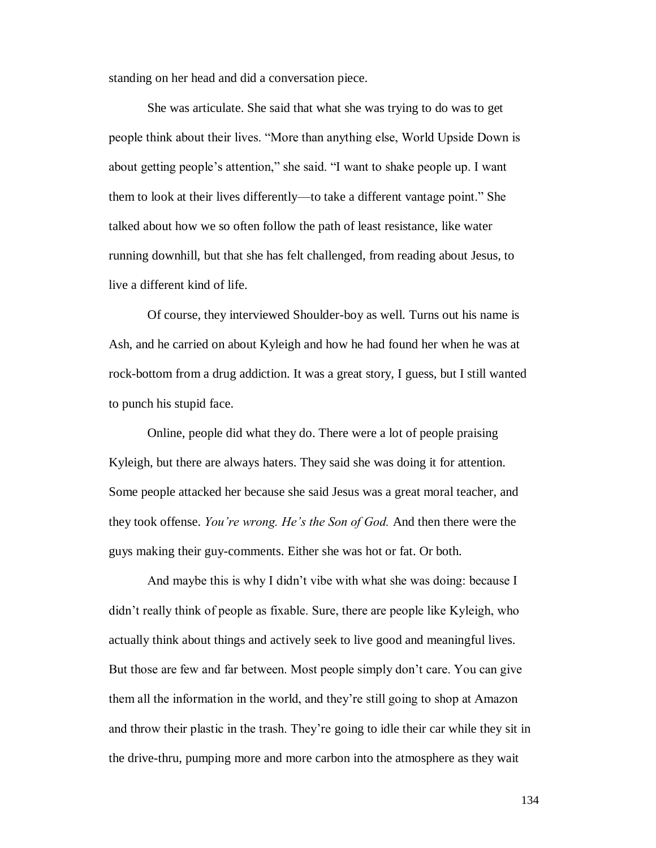standing on her head and did a conversation piece.

She was articulate. She said that what she was trying to do was to get people think about their lives. "More than anything else, World Upside Down is about getting people's attention," she said. "I want to shake people up. I want them to look at their lives differently—to take a different vantage point." She talked about how we so often follow the path of least resistance, like water running downhill, but that she has felt challenged, from reading about Jesus, to live a different kind of life.

Of course, they interviewed Shoulder-boy as well. Turns out his name is Ash, and he carried on about Kyleigh and how he had found her when he was at rock-bottom from a drug addiction. It was a great story, I guess, but I still wanted to punch his stupid face.

Online, people did what they do. There were a lot of people praising Kyleigh, but there are always haters. They said she was doing it for attention. Some people attacked her because she said Jesus was a great moral teacher, and they took offense. *You're wrong. He's the Son of God.* And then there were the guys making their guy-comments. Either she was hot or fat. Or both.

And maybe this is why I didn't vibe with what she was doing: because I didn't really think of people as fixable. Sure, there are people like Kyleigh, who actually think about things and actively seek to live good and meaningful lives. But those are few and far between. Most people simply don't care. You can give them all the information in the world, and they're still going to shop at Amazon and throw their plastic in the trash. They're going to idle their car while they sit in the drive-thru, pumping more and more carbon into the atmosphere as they wait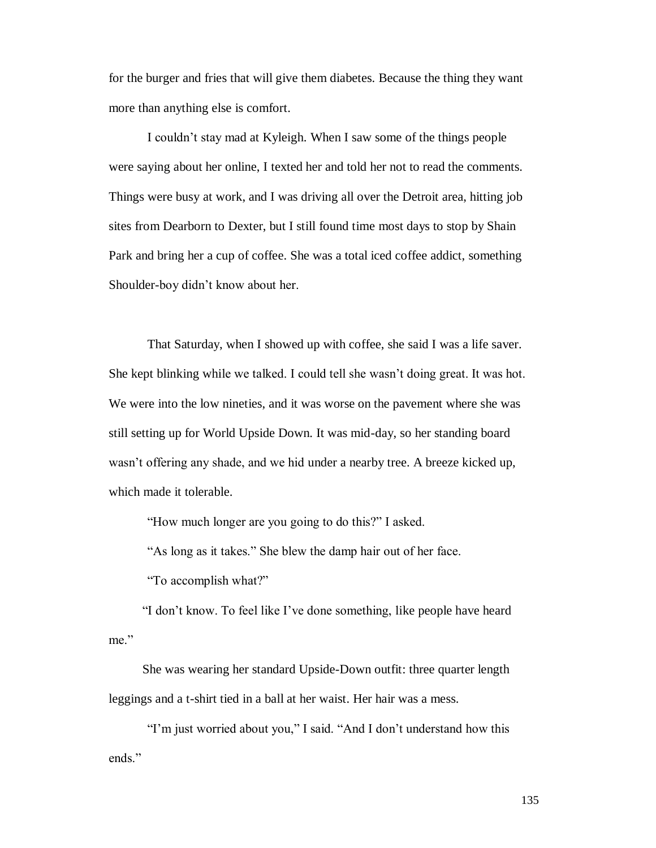for the burger and fries that will give them diabetes. Because the thing they want more than anything else is comfort.

I couldn't stay mad at Kyleigh. When I saw some of the things people were saying about her online, I texted her and told her not to read the comments. Things were busy at work, and I was driving all over the Detroit area, hitting job sites from Dearborn to Dexter, but I still found time most days to stop by Shain Park and bring her a cup of coffee. She was a total iced coffee addict, something Shoulder-boy didn't know about her.

That Saturday, when I showed up with coffee, she said I was a life saver. She kept blinking while we talked. I could tell she wasn't doing great. It was hot. We were into the low nineties, and it was worse on the pavement where she was still setting up for World Upside Down. It was mid-day, so her standing board wasn't offering any shade, and we hid under a nearby tree. A breeze kicked up, which made it tolerable.

"How much longer are you going to do this?" I asked.

"As long as it takes." She blew the damp hair out of her face.

"To accomplish what?"

"I don't know. To feel like I've done something, like people have heard me."

She was wearing her standard Upside-Down outfit: three quarter length leggings and a t-shirt tied in a ball at her waist. Her hair was a mess.

"I'm just worried about you," I said. "And I don't understand how this ends."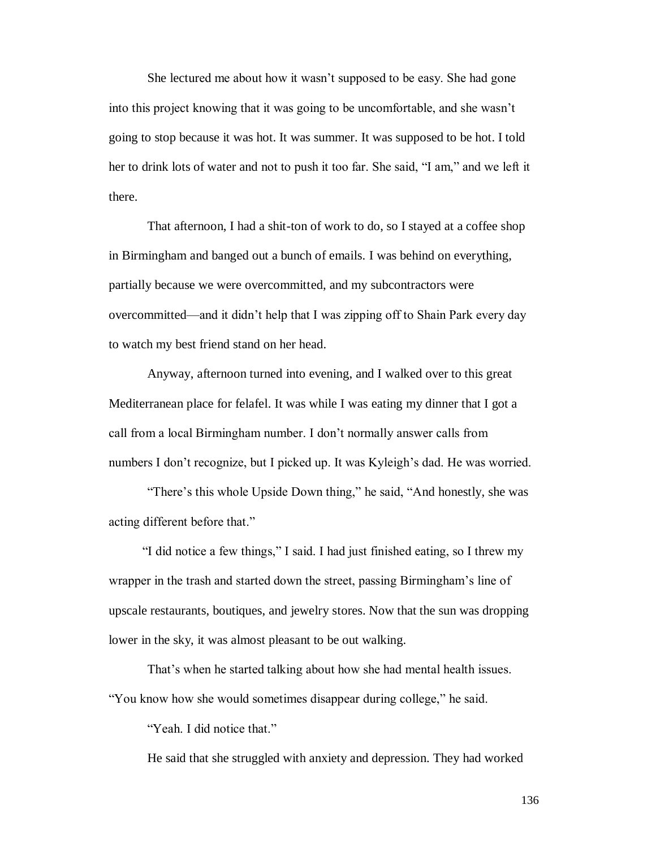She lectured me about how it wasn't supposed to be easy. She had gone into this project knowing that it was going to be uncomfortable, and she wasn't going to stop because it was hot. It was summer. It was supposed to be hot. I told her to drink lots of water and not to push it too far. She said, "I am," and we left it there.

That afternoon, I had a shit-ton of work to do, so I stayed at a coffee shop in Birmingham and banged out a bunch of emails. I was behind on everything, partially because we were overcommitted, and my subcontractors were overcommitted—and it didn't help that I was zipping off to Shain Park every day to watch my best friend stand on her head.

Anyway, afternoon turned into evening, and I walked over to this great Mediterranean place for felafel. It was while I was eating my dinner that I got a call from a local Birmingham number. I don't normally answer calls from numbers I don't recognize, but I picked up. It was Kyleigh's dad. He was worried.

"There's this whole Upside Down thing," he said, "And honestly, she was acting different before that."

"I did notice a few things," I said. I had just finished eating, so I threw my wrapper in the trash and started down the street, passing Birmingham's line of upscale restaurants, boutiques, and jewelry stores. Now that the sun was dropping lower in the sky, it was almost pleasant to be out walking.

That's when he started talking about how she had mental health issues. "You know how she would sometimes disappear during college," he said.

"Yeah. I did notice that."

He said that she struggled with anxiety and depression. They had worked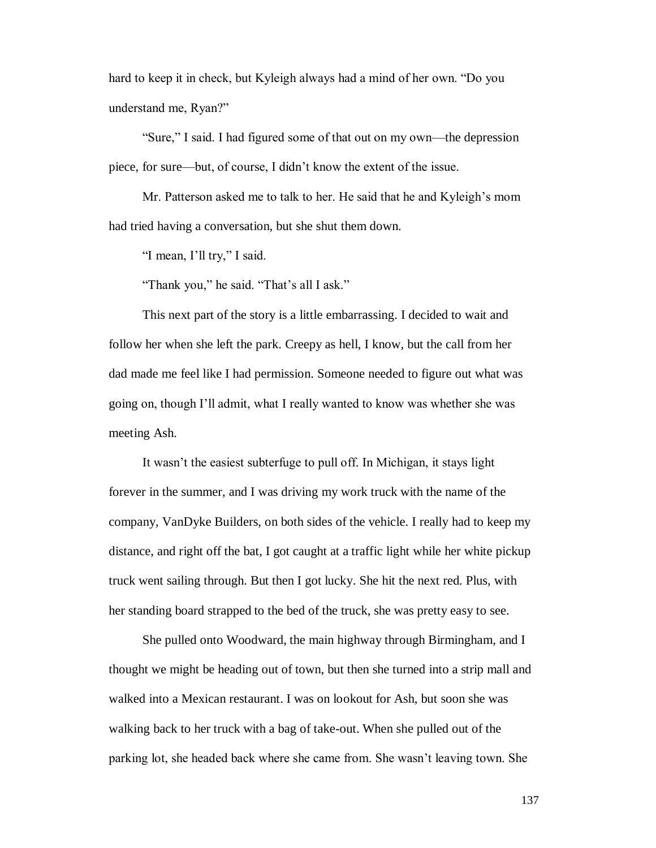hard to keep it in check, but Kyleigh always had a mind of her own. "Do you understand me, Ryan?"

"Sure," I said. I had figured some of that out on my own—the depression piece, for sure—but, of course, I didn't know the extent of the issue.

Mr. Patterson asked me to talk to her. He said that he and Kyleigh's mom had tried having a conversation, but she shut them down.

"I mean, I'll try," I said.

"Thank you," he said. "That's all I ask."

This next part of the story is a little embarrassing. I decided to wait and follow her when she left the park. Creepy as hell, I know, but the call from her dad made me feel like I had permission. Someone needed to figure out what was going on, though I'll admit, what I really wanted to know was whether she was meeting Ash.

It wasn't the easiest subterfuge to pull off. In Michigan, it stays light forever in the summer, and I was driving my work truck with the name of the company, VanDyke Builders, on both sides of the vehicle. I really had to keep my distance, and right off the bat, I got caught at a traffic light while her white pickup truck went sailing through. But then I got lucky. She hit the next red. Plus, with her standing board strapped to the bed of the truck, she was pretty easy to see.

She pulled onto Woodward, the main highway through Birmingham, and I thought we might be heading out of town, but then she turned into a strip mall and walked into a Mexican restaurant. I was on lookout for Ash, but soon she was walking back to her truck with a bag of take-out. When she pulled out of the parking lot, she headed back where she came from. She wasn't leaving town. She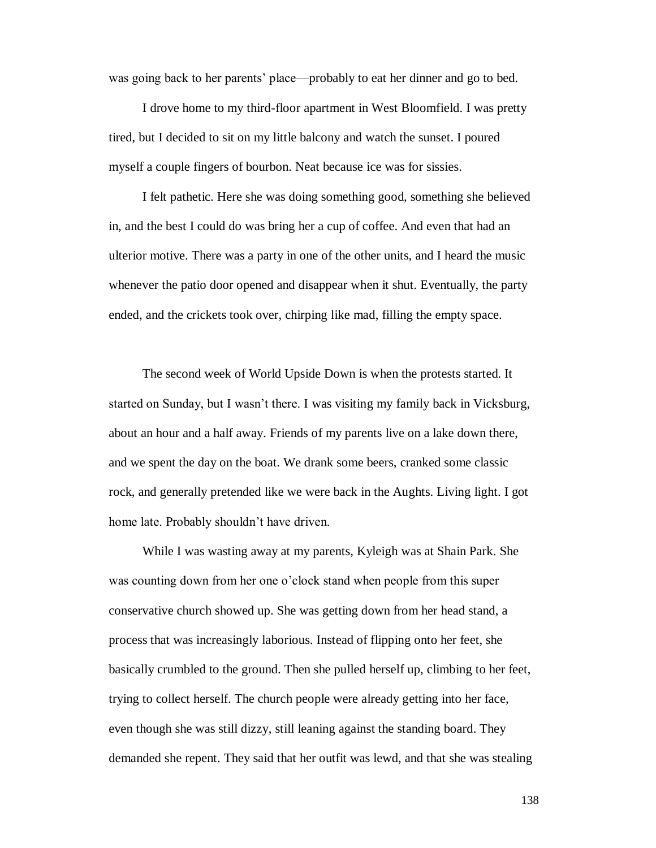was going back to her parents' place—probably to eat her dinner and go to bed.

I drove home to my third-floor apartment in West Bloomfield. I was pretty tired, but I decided to sit on my little balcony and watch the sunset. I poured myself a couple fingers of bourbon. Neat because ice was for sissies.

I felt pathetic. Here she was doing something good, something she believed in, and the best I could do was bring her a cup of coffee. And even that had an ulterior motive. There was a party in one of the other units, and I heard the music whenever the patio door opened and disappear when it shut. Eventually, the party ended, and the crickets took over, chirping like mad, filling the empty space.

The second week of World Upside Down is when the protests started. It started on Sunday, but I wasn't there. I was visiting my family back in Vicksburg, about an hour and a half away. Friends of my parents live on a lake down there, and we spent the day on the boat. We drank some beers, cranked some classic rock, and generally pretended like we were back in the Aughts. Living light. I got home late. Probably shouldn't have driven.

While I was wasting away at my parents, Kyleigh was at Shain Park. She was counting down from her one o'clock stand when people from this super conservative church showed up. She was getting down from her head stand, a process that was increasingly laborious. Instead of flipping onto her feet, she basically crumbled to the ground. Then she pulled herself up, climbing to her feet, trying to collect herself. The church people were already getting into her face, even though she was still dizzy, still leaning against the standing board. They demanded she repent. They said that her outfit was lewd, and that she was stealing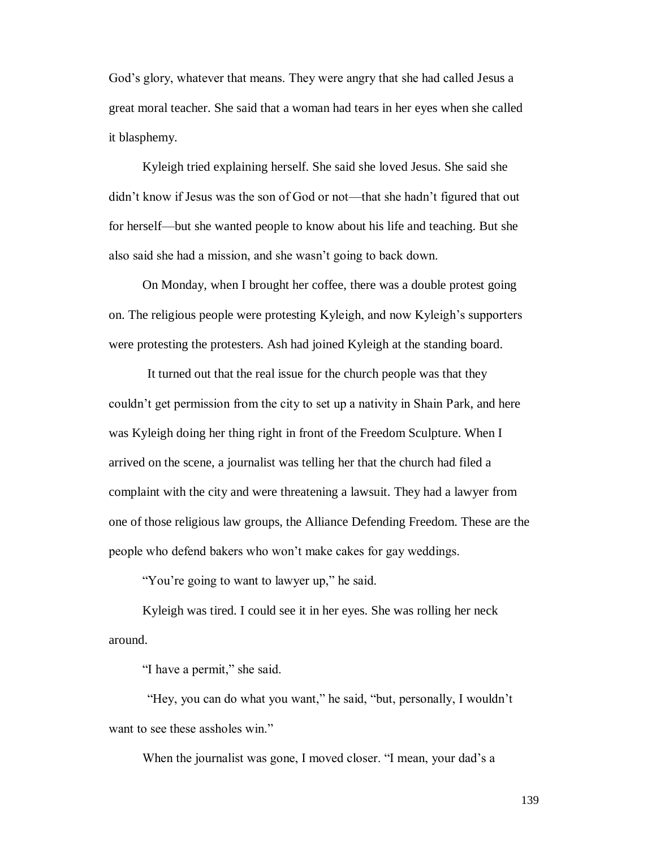God's glory, whatever that means. They were angry that she had called Jesus a great moral teacher. She said that a woman had tears in her eyes when she called it blasphemy.

Kyleigh tried explaining herself. She said she loved Jesus. She said she didn't know if Jesus was the son of God or not—that she hadn't figured that out for herself—but she wanted people to know about his life and teaching. But she also said she had a mission, and she wasn't going to back down.

On Monday, when I brought her coffee, there was a double protest going on. The religious people were protesting Kyleigh, and now Kyleigh's supporters were protesting the protesters. Ash had joined Kyleigh at the standing board.

It turned out that the real issue for the church people was that they couldn't get permission from the city to set up a nativity in Shain Park, and here was Kyleigh doing her thing right in front of the Freedom Sculpture. When I arrived on the scene, a journalist was telling her that the church had filed a complaint with the city and were threatening a lawsuit. They had a lawyer from one of those religious law groups, the Alliance Defending Freedom. These are the people who defend bakers who won't make cakes for gay weddings.

"You're going to want to lawyer up," he said.

Kyleigh was tired. I could see it in her eyes. She was rolling her neck around.

"I have a permit," she said.

"Hey, you can do what you want," he said, "but, personally, I wouldn't want to see these assholes win."

When the journalist was gone, I moved closer. "I mean, your dad's a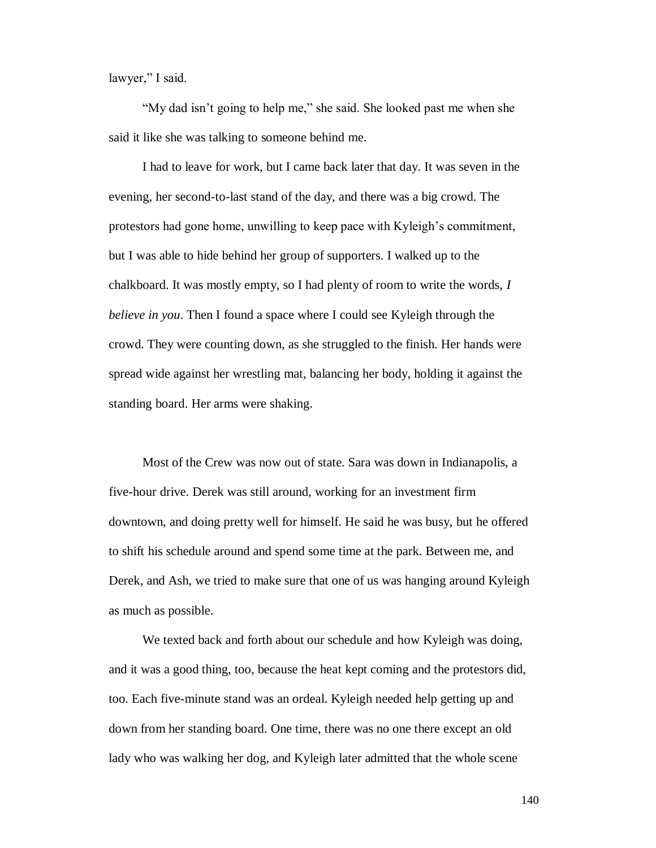lawyer," I said.

"My dad isn't going to help me," she said. She looked past me when she said it like she was talking to someone behind me.

I had to leave for work, but I came back later that day. It was seven in the evening, her second-to-last stand of the day, and there was a big crowd. The protestors had gone home, unwilling to keep pace with Kyleigh's commitment, but I was able to hide behind her group of supporters. I walked up to the chalkboard. It was mostly empty, so I had plenty of room to write the words, *I believe in you*. Then I found a space where I could see Kyleigh through the crowd. They were counting down, as she struggled to the finish. Her hands were spread wide against her wrestling mat, balancing her body, holding it against the standing board. Her arms were shaking.

Most of the Crew was now out of state. Sara was down in Indianapolis, a five-hour drive. Derek was still around, working for an investment firm downtown, and doing pretty well for himself. He said he was busy, but he offered to shift his schedule around and spend some time at the park. Between me, and Derek, and Ash, we tried to make sure that one of us was hanging around Kyleigh as much as possible.

We texted back and forth about our schedule and how Kyleigh was doing, and it was a good thing, too, because the heat kept coming and the protestors did, too. Each five-minute stand was an ordeal. Kyleigh needed help getting up and down from her standing board. One time, there was no one there except an old lady who was walking her dog, and Kyleigh later admitted that the whole scene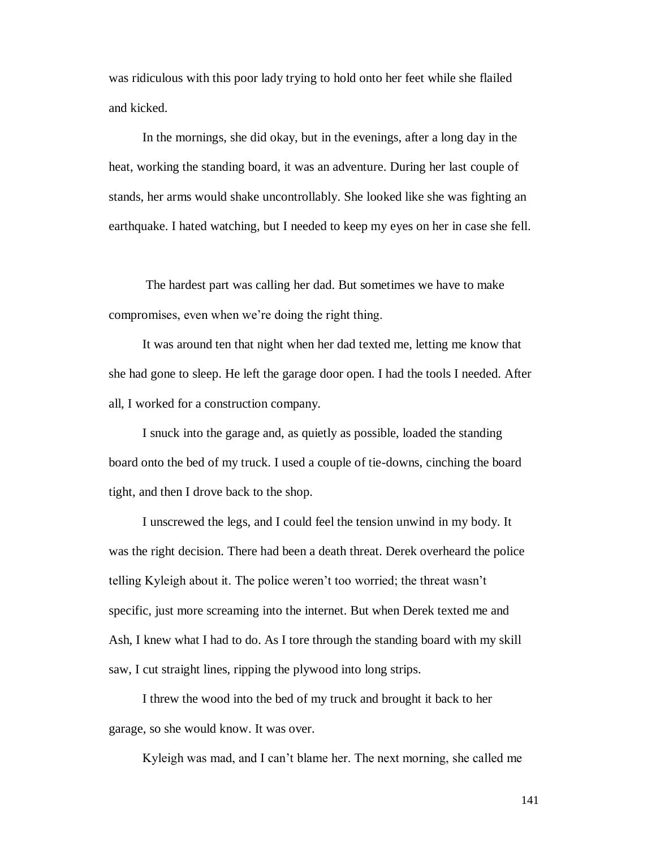was ridiculous with this poor lady trying to hold onto her feet while she flailed and kicked.

In the mornings, she did okay, but in the evenings, after a long day in the heat, working the standing board, it was an adventure. During her last couple of stands, her arms would shake uncontrollably. She looked like she was fighting an earthquake. I hated watching, but I needed to keep my eyes on her in case she fell.

The hardest part was calling her dad. But sometimes we have to make compromises, even when we're doing the right thing.

It was around ten that night when her dad texted me, letting me know that she had gone to sleep. He left the garage door open. I had the tools I needed. After all, I worked for a construction company.

I snuck into the garage and, as quietly as possible, loaded the standing board onto the bed of my truck. I used a couple of tie-downs, cinching the board tight, and then I drove back to the shop.

I unscrewed the legs, and I could feel the tension unwind in my body. It was the right decision. There had been a death threat. Derek overheard the police telling Kyleigh about it. The police weren't too worried; the threat wasn't specific, just more screaming into the internet. But when Derek texted me and Ash, I knew what I had to do. As I tore through the standing board with my skill saw, I cut straight lines, ripping the plywood into long strips.

I threw the wood into the bed of my truck and brought it back to her garage, so she would know. It was over.

Kyleigh was mad, and I can't blame her. The next morning, she called me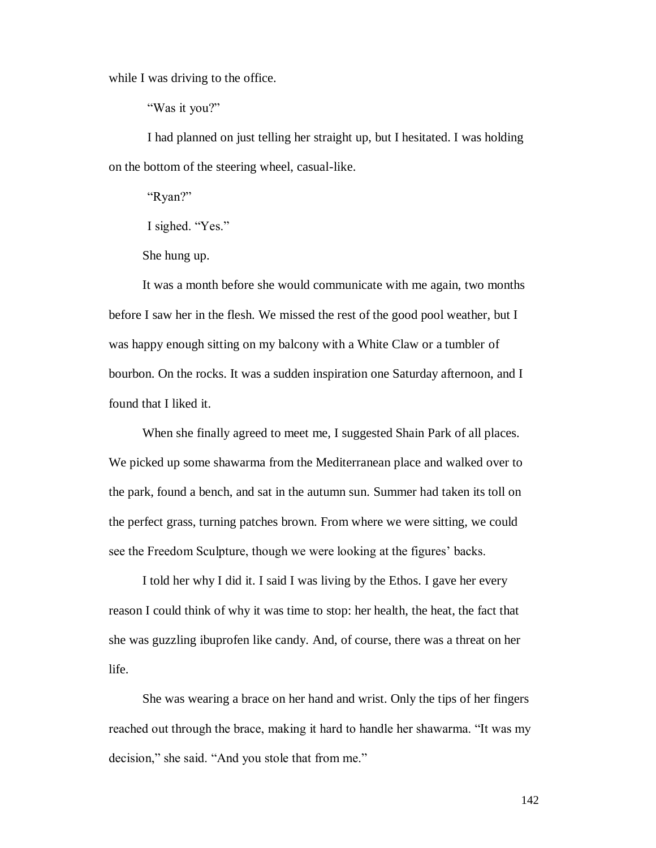while I was driving to the office.

"Was it you?"

I had planned on just telling her straight up, but I hesitated. I was holding on the bottom of the steering wheel, casual-like.

"Ryan?"

I sighed. "Yes."

She hung up.

It was a month before she would communicate with me again, two months before I saw her in the flesh. We missed the rest of the good pool weather, but I was happy enough sitting on my balcony with a White Claw or a tumbler of bourbon. On the rocks. It was a sudden inspiration one Saturday afternoon, and I found that I liked it.

When she finally agreed to meet me, I suggested Shain Park of all places. We picked up some shawarma from the Mediterranean place and walked over to the park, found a bench, and sat in the autumn sun. Summer had taken its toll on the perfect grass, turning patches brown. From where we were sitting, we could see the Freedom Sculpture, though we were looking at the figures' backs.

I told her why I did it. I said I was living by the Ethos. I gave her every reason I could think of why it was time to stop: her health, the heat, the fact that she was guzzling ibuprofen like candy. And, of course, there was a threat on her life.

She was wearing a brace on her hand and wrist. Only the tips of her fingers reached out through the brace, making it hard to handle her shawarma. "It was my decision," she said. "And you stole that from me."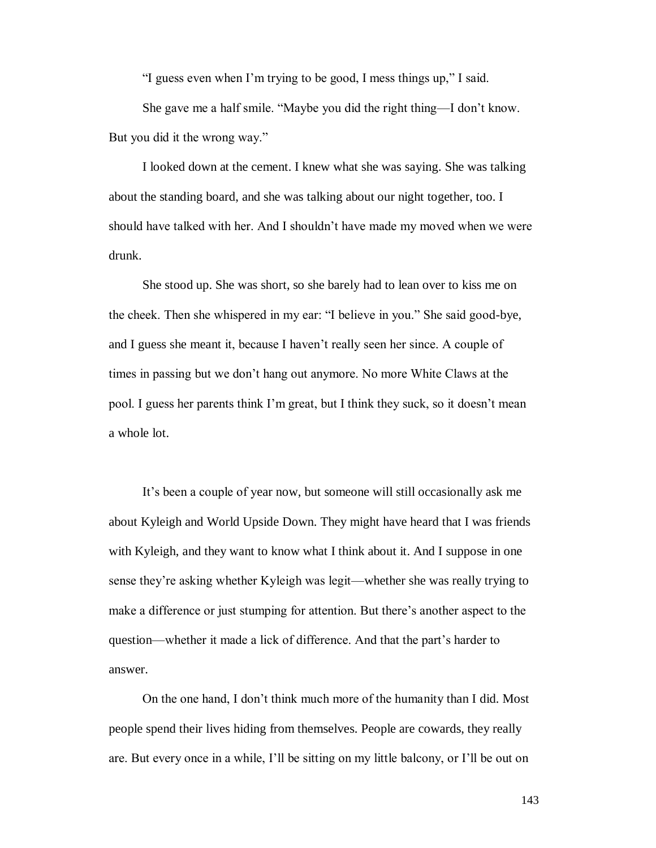"I guess even when I'm trying to be good, I mess things up," I said.

She gave me a half smile. "Maybe you did the right thing—I don't know. But you did it the wrong way."

I looked down at the cement. I knew what she was saying. She was talking about the standing board, and she was talking about our night together, too. I should have talked with her. And I shouldn't have made my moved when we were drunk.

She stood up. She was short, so she barely had to lean over to kiss me on the cheek. Then she whispered in my ear: "I believe in you." She said good-bye, and I guess she meant it, because I haven't really seen her since. A couple of times in passing but we don't hang out anymore. No more White Claws at the pool. I guess her parents think I'm great, but I think they suck, so it doesn't mean a whole lot.

It's been a couple of year now, but someone will still occasionally ask me about Kyleigh and World Upside Down. They might have heard that I was friends with Kyleigh, and they want to know what I think about it. And I suppose in one sense they're asking whether Kyleigh was legit—whether she was really trying to make a difference or just stumping for attention. But there's another aspect to the question—whether it made a lick of difference. And that the part's harder to answer.

On the one hand, I don't think much more of the humanity than I did. Most people spend their lives hiding from themselves. People are cowards, they really are. But every once in a while, I'll be sitting on my little balcony, or I'll be out on